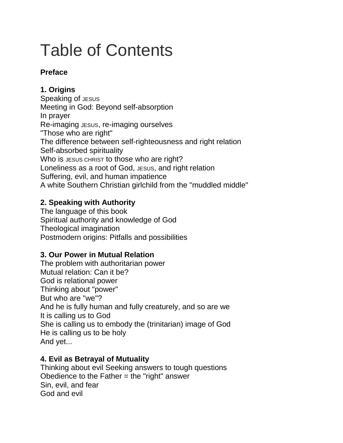# Table of Contents

### **Preface**

# **1. Origins**

Speaking of JESUS Meeting in God: Beyond self-absorption In prayer Re-imaging JESUS, re-imaging ourselves "Those who are right" The difference between self-righteousness and right relation Self-absorbed spirituality Who is JESUS CHRIST to those who are right? Loneliness as a root of God, JESUS, and right relation Suffering, evil, and human impatience A white Southern Christian girlchild from the "muddled middle"

## **2. Speaking with Authority**

The language of this book Spiritual authority and knowledge of God Theological imagination Postmodern origins: Pitfalls and possibilities

## **3. Our Power in Mutual Relation**

The problem with authoritarian power Mutual relation: Can it be? God is relational power Thinking about "power" But who are "we"? And he is fully human and fully creaturely, and so are we It is calling us to God She is calling us to embody the (trinitarian) image of God He is calling us to be holy And yet...

## **4. Evil as Betrayal of Mutuality**

Thinking about evil Seeking answers to tough questions Obedience to the Father = the "right" answer Sin, evil, and fear God and evil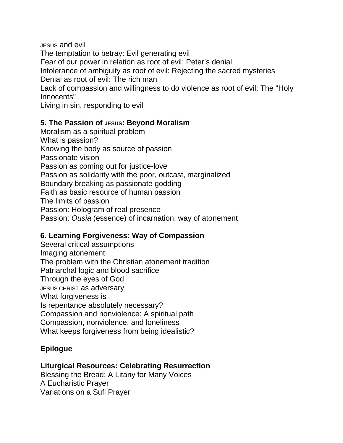JESUS and evil The temptation to betray: Evil generating evil Fear of our power in relation as root of evil: Peter's denial Intolerance of ambiguity as root of evil: Rejecting the sacred mysteries Denial as root of evil: The rich man Lack of compassion and willingness to do violence as root of evil: The "Holy Innocents"

Living in sin, responding to evil

#### **5. The Passion of JESUS: Beyond Moralism**

Moralism as a spiritual problem What is passion? Knowing the body as source of passion Passionate vision Passion as coming out for justice-love Passion as solidarity with the poor, outcast, marginalized Boundary breaking as passionate godding Faith as basic resource of human passion The limits of passion Passion: Hologram of real presence Passion: *Ousia* (essence) of incarnation, way of atonement

#### **6. Learning Forgiveness: Way of Compassion**

Several critical assumptions Imaging atonement The problem with the Christian atonement tradition Patriarchal logic and blood sacrifice Through the eyes of God JESUS CHRIST as adversary What forgiveness is Is repentance absolutely necessary? Compassion and nonviolence: A spiritual path Compassion, nonviolence, and loneliness What keeps forgiveness from being idealistic?

#### **Epilogue**

#### **Liturgical Resources: Celebrating Resurrection**

Blessing the Bread: A Litany for Many Voices A Eucharistic Prayer Variations on a Sufi Prayer